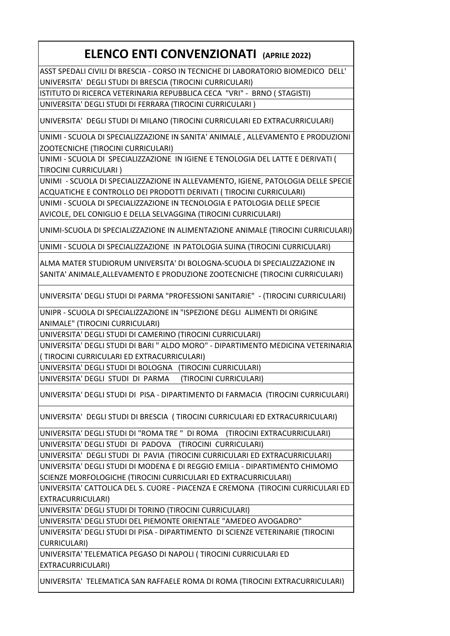## **ELENCO ENTI CONVENZIONATI (APRILE 2022)**

ASST SPEDALI CIVILI DI BRESCIA - CORSO IN TECNICHE DI LABORATORIO BIOMEDICO DELL' UNIVERSITA' DEGLI STUDI DI BRESCIA (TIROCINI CURRICULARI)

ISTITUTO DI RICERCA VETERINARIA REPUBBLICA CECA "VRI" - BRNO ( STAGISTI)

UNIVERSITA' DEGLI STUDI DI FERRARA (TIROCINI CURRICULARI )

UNIVERSITA' DEGLI STUDI DI MILANO (TIROCINI CURRICULARI ED EXTRACURRICULARI)

UNIMI - SCUOLA DI SPECIALIZZAZIONE IN SANITA' ANIMALE , ALLEVAMENTO E PRODUZIONI ZOOTECNICHE (TIROCINI CURRICULARI)

UNIMI - SCUOLA DI SPECIALIZZAZIONE IN IGIENE E TENOLOGIA DEL LATTE E DERIVATI ( TIROCINI CURRICULARI )

UNIMI - SCUOLA DI SPECIALIZZAZIONE IN ALLEVAMENTO, IGIENE, PATOLOGIA DELLE SPECIE ACQUATICHE E CONTROLLO DEI PRODOTTI DERIVATI ( TIROCINI CURRICULARI)

UNIMI - SCUOLA DI SPECIALIZZAZIONE IN TECNOLOGIA E PATOLOGIA DELLE SPECIE

AVICOLE, DEL CONIGLIO E DELLA SELVAGGINA (TIROCINI CURRICULARI)

UNIMI-SCUOLA DI SPECIALIZZAZIONE IN ALIMENTAZIONE ANIMALE (TIROCINI CURRICULARI)

UNIMI - SCUOLA DI SPECIALIZZAZIONE IN PATOLOGIA SUINA (TIROCINI CURRICULARI)

ALMA MATER STUDIORUM UNIVERSITA' DI BOLOGNA-SCUOLA DI SPECIALIZZAZIONE IN SANITA' ANIMALE,ALLEVAMENTO E PRODUZIONE ZOOTECNICHE (TIROCINI CURRICULARI)

UNIVERSITA' DEGLI STUDI DI PARMA "PROFESSIONI SANITARIE" - (TIROCINI CURRICULARI)

UNIPR - SCUOLA DI SPECIALIZZAZIONE IN "ISPEZIONE DEGLI ALIMENTI DI ORIGINE

ANIMALE" (TIROCINI CURRICULARI)

UNIVERSITA' DEGLI STUDI DI CAMERINO (TIROCINI CURRICULARI)

UNIVERSITA' DEGLI STUDI DI BARI " ALDO MORO" - DIPARTIMENTO MEDICINA VETERINARIA ( TIROCINI CURRICULARI ED EXTRACURRICULARI)

UNIVERSITA' DEGLI STUDI DI BOLOGNA (TIROCINI CURRICULARI)

UNIVERSITA' DEGLI STUDI DI PARMA (TIROCINI CURRICULARI)

UNIVERSITA' DEGLI STUDI DI PISA - DIPARTIMENTO DI FARMACIA (TIROCINI CURRICULARI)

UNIVERSITA' DEGLI STUDI DI BRESCIA ( TIROCINI CURRICULARI ED EXTRACURRICULARI)

UNIVERSITA' DEGLI STUDI DI "ROMA TRE " DI ROMA (TIROCINI EXTRACURRICULARI)

UNIVERSITA' DEGLI STUDI DI PADOVA (TIROCINI CURRICULARI)

UNIVERSITA' DEGLI STUDI DI PAVIA (TIROCINI CURRICULARI ED EXTRACURRICULARI) UNIVERSITA' DEGLI STUDI DI MODENA E DI REGGIO EMILIA - DIPARTIMENTO CHIMOMO SCIENZE MORFOLOGICHE (TIROCINI CURRICULARI ED EXTRACURRICULARI)

UNIVERSITA' CATTOLICA DEL S. CUORE - PIACENZA E CREMONA (TIROCINI CURRICULARI ED EXTRACURRICULARI)

UNIVERSITA' DEGLI STUDI DI TORINO (TIROCINI CURRICULARI)

UNIVERSITA' DEGLI STUDI DEL PIEMONTE ORIENTALE "AMEDEO AVOGADRO"

UNIVERSITA' DEGLI STUDI DI PISA - DIPARTIMENTO DI SCIENZE VETERINARIE (TIROCINI CURRICULARI)

UNIVERSITA' TELEMATICA PEGASO DI NAPOLI ( TIROCINI CURRICULARI ED EXTRACURRICULARI)

UNIVERSITA' TELEMATICA SAN RAFFAELE ROMA DI ROMA (TIROCINI EXTRACURRICULARI)